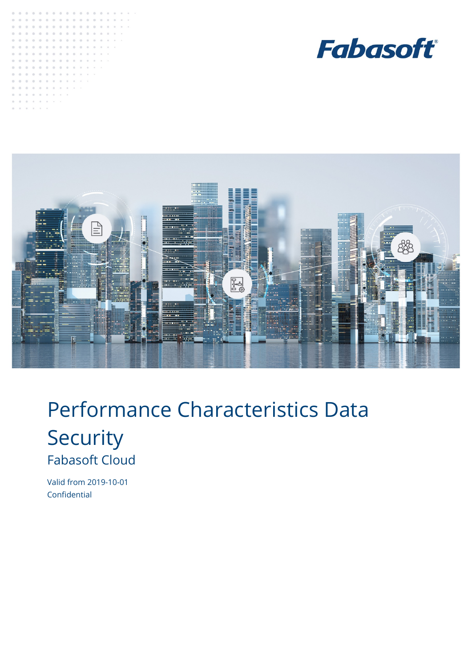





# Performance Characteristics Data **Security** Fabasoft Cloud

<span id="page-0-0"></span>Valid from 2019-10-01 Confidential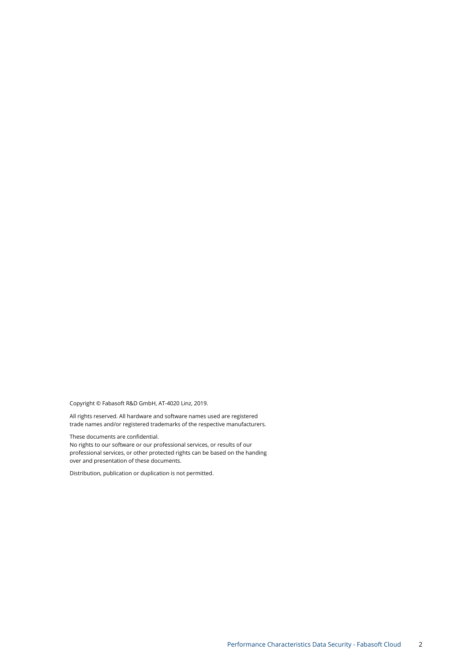Copyright © Fabasoft R&D GmbH, AT-4020 Linz, 2019.

All rights reserved. All hardware and software names used are registered trade names and/or registered trademarks of the respective manufacturers.

These documents ar[e confidential.](#page-0-0)

No rights to our software or our professional services, or results of our professional services, or other protected rights can be based on the handing over and presentation of these documents.

Distribution, publication or duplication is not permitted.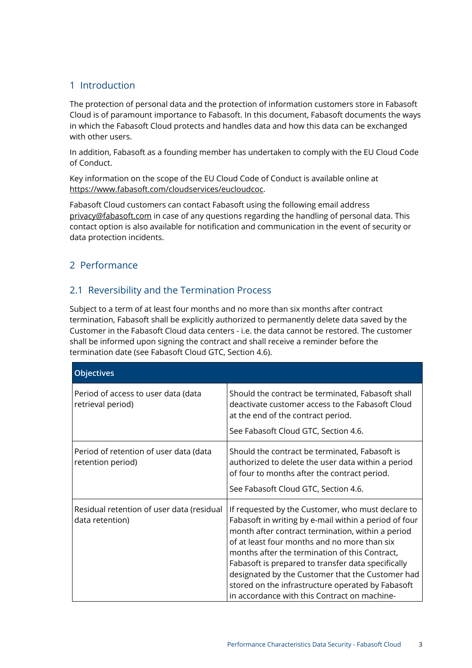# 1 Introduction

The protection of personal data and the protection of information customers store in Fabasoft Cloud is of paramount importance to Fabasoft. In this document, Fabasoft documents the ways in which the Fabasoft Cloud protects and handles data and how this data can be exchanged with other users.

In addition, Fabasoft as a founding member has undertaken to comply with the EU Cloud Code of Conduct.

Key information on the scope of the EU Cloud Code of Conduct is available online at [https://www.fabasoft.com/cloudservices/eucloudcoc.](https://www.fabasoft.com/cloudservices/eucloudcoc)

Fabasoft Cloud customers can contact Fabasoft using the following email address [privacy@fabasoft.com](mailto:privacy@fabasoft.com) in case of any questions regarding the handling of personal data. This contact option is also available for notification and communication in the event of security or data protection incidents.

# 2 Performance

# 2.1 Reversibility and the Termination Process

Subject to a term of at least four months and no more than six months after contract termination, Fabasoft shall be explicitly authorized to permanently delete data saved by the Customer in the Fabasoft Cloud data centers - i.e. the data cannot be restored. The customer shall be informed upon signing the contract and shall receive a reminder before the termination date (see Fabasoft Cloud GTC, Section 4.6).

| <b>Objectives</b>                                            |                                                                                                                                                                                                                                                                                                                                                                                                                                                                                  |
|--------------------------------------------------------------|----------------------------------------------------------------------------------------------------------------------------------------------------------------------------------------------------------------------------------------------------------------------------------------------------------------------------------------------------------------------------------------------------------------------------------------------------------------------------------|
| Period of access to user data (data<br>retrieval period)     | Should the contract be terminated, Fabasoft shall<br>deactivate customer access to the Fabasoft Cloud<br>at the end of the contract period.<br>See Fabasoft Cloud GTC, Section 4.6.                                                                                                                                                                                                                                                                                              |
| Period of retention of user data (data<br>retention period)  | Should the contract be terminated, Fabasoft is<br>authorized to delete the user data within a period<br>of four to months after the contract period.<br>See Fabasoft Cloud GTC, Section 4.6.                                                                                                                                                                                                                                                                                     |
| Residual retention of user data (residual<br>data retention) | If requested by the Customer, who must declare to<br>Fabasoft in writing by e-mail within a period of four<br>month after contract termination, within a period<br>of at least four months and no more than six<br>months after the termination of this Contract,<br>Fabasoft is prepared to transfer data specifically<br>designated by the Customer that the Customer had<br>stored on the infrastructure operated by Fabasoft<br>in accordance with this Contract on machine- |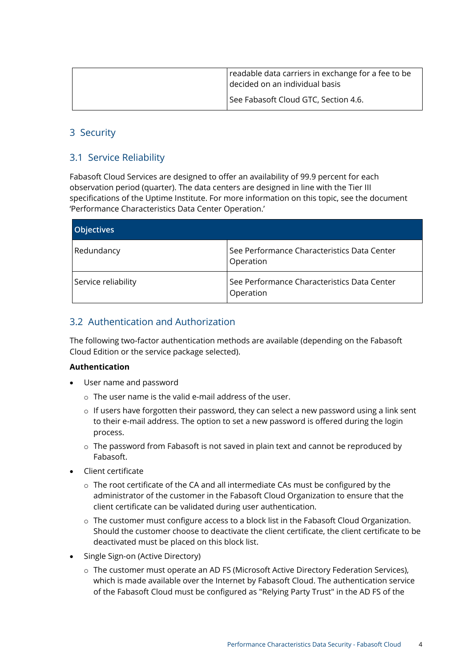| readable data carriers in exchange for a fee to be<br>decided on an individual basis |
|--------------------------------------------------------------------------------------|
| See Fabasoft Cloud GTC, Section 4.6.                                                 |

# 3 Security

# 3.1 Service Reliability

Fabasoft Cloud Services are designed to offer an availability of 99.9 percent for each observation period (quarter). The data centers are designed in line with the Tier III specifications of the Uptime Institute. For more information on this topic, see the document 'Performance Characteristics Data Center Operation.'

| <b>Objectives</b>   |                                                          |
|---------------------|----------------------------------------------------------|
| Redundancy          | See Performance Characteristics Data Center<br>Operation |
| Service reliability | See Performance Characteristics Data Center<br>Operation |

# 3.2 Authentication and Authorization

The following two-factor authentication methods are available (depending on the Fabasoft Cloud Edition or the service package selected).

### **Authentication**

- User name and password
	- o The user name is the valid e-mail address of the user.
	- o If users have forgotten their password, they can select a new password using a link sent to their e-mail address. The option to set a new password is offered during the login process.
	- o The password from Fabasoft is not saved in plain text and cannot be reproduced by Fabasoft.
- Client certificate
	- $\circ$  The root certificate of the CA and all intermediate CAs must be configured by the administrator of the customer in the Fabasoft Cloud Organization to ensure that the client certificate can be validated during user authentication.
	- o The customer must configure access to a block list in the Fabasoft Cloud Organization. Should the customer choose to deactivate the client certificate, the client certificate to be deactivated must be placed on this block list.
- Single Sign-on (Active Directory)
	- o The customer must operate an AD FS (Microsoft Active Directory Federation Services), which is made available over the Internet by Fabasoft Cloud. The authentication service of the Fabasoft Cloud must be configured as "Relying Party Trust" in the AD FS of the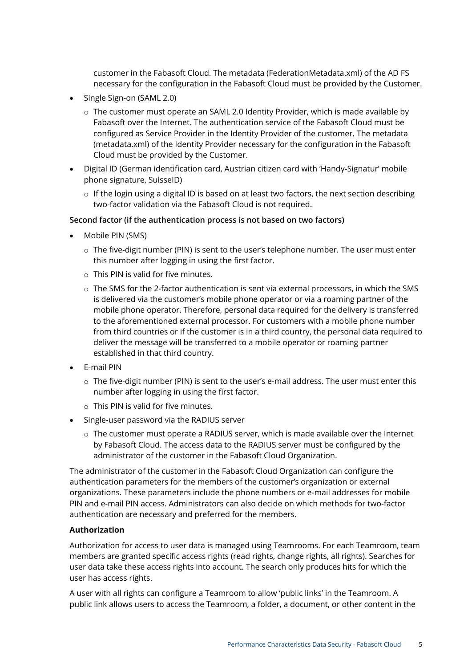customer in the Fabasoft Cloud. The metadata (FederationMetadata.xml) of the AD FS necessary for the configuration in the Fabasoft Cloud must be provided by the Customer.

- Single Sign-on (SAML 2.0)
	- $\circ$  The customer must operate an SAML 2.0 Identity Provider, which is made available by Fabasoft over the Internet. The authentication service of the Fabasoft Cloud must be configured as Service Provider in the Identity Provider of the customer. The metadata (metadata.xml) of the Identity Provider necessary for the configuration in the Fabasoft Cloud must be provided by the Customer.
- Digital ID (German identification card, Austrian citizen card with 'Handy-Signatur' mobile phone signature, SuisseID)
	- $\circ$  If the login using a digital ID is based on at least two factors, the next section describing two-factor validation via the Fabasoft Cloud is not required.

### **Second factor (if the authentication process is not based on two factors)**

- Mobile PIN (SMS)
	- o The five-digit number (PIN) is sent to the user's telephone number. The user must enter this number after logging in using the first factor.
	- $\circ$  This PIN is valid for five minutes.
	- $\circ$  The SMS for the 2-factor authentication is sent via external processors, in which the SMS is delivered via the customer's mobile phone operator or via a roaming partner of the mobile phone operator. Therefore, personal data required for the delivery is transferred to the aforementioned external processor. For customers with a mobile phone number from third countries or if the customer is in a third country, the personal data required to deliver the message will be transferred to a mobile operator or roaming partner established in that third country.
- E-mail PIN
	- $\circ$  The five-digit number (PIN) is sent to the user's e-mail address. The user must enter this number after logging in using the first factor.
	- $\circ$  This PIN is valid for five minutes.
- Single-user password via the RADIUS server
	- $\circ$  The customer must operate a RADIUS server, which is made available over the Internet by Fabasoft Cloud. The access data to the RADIUS server must be configured by the administrator of the customer in the Fabasoft Cloud Organization.

The administrator of the customer in the Fabasoft Cloud Organization can configure the authentication parameters for the members of the customer's organization or external organizations. These parameters include the phone numbers or e-mail addresses for mobile PIN and e-mail PIN access. Administrators can also decide on which methods for two-factor authentication are necessary and preferred for the members.

### **Authorization**

Authorization for access to user data is managed using Teamrooms. For each Teamroom, team members are granted specific access rights (read rights, change rights, all rights). Searches for user data take these access rights into account. The search only produces hits for which the user has access rights.

A user with all rights can configure a Teamroom to allow 'public links' in the Teamroom. A public link allows users to access the Teamroom, a folder, a document, or other content in the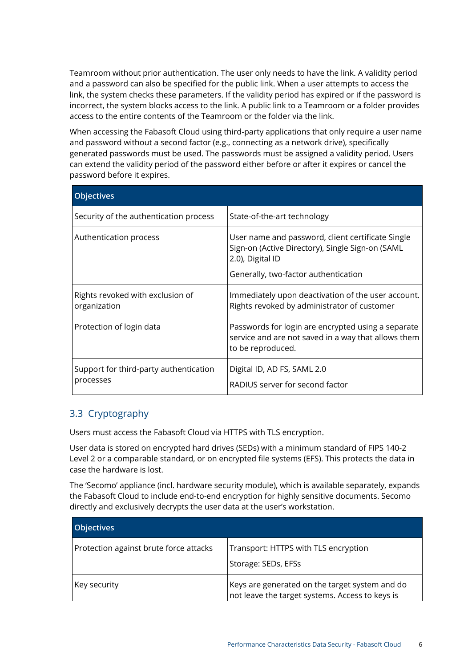Teamroom without prior authentication. The user only needs to have the link. A validity period and a password can also be specified for the public link. When a user attempts to access the link, the system checks these parameters. If the validity period has expired or if the password is incorrect, the system blocks access to the link. A public link to a Teamroom or a folder provides access to the entire contents of the Teamroom or the folder via the link.

When accessing the Fabasoft Cloud using third-party applications that only require a user name and password without a second factor (e.g., connecting as a network drive), specifically generated passwords must be used. The passwords must be assigned a validity period. Users can extend the validity period of the password either before or after it expires or cancel the password before it expires.

| <b>Objectives</b>                                   |                                                                                                                                |
|-----------------------------------------------------|--------------------------------------------------------------------------------------------------------------------------------|
| Security of the authentication process              | State-of-the-art technology                                                                                                    |
| Authentication process                              | User name and password, client certificate Single<br>Sign-on (Active Directory), Single Sign-on (SAML<br>2.0), Digital ID      |
|                                                     | Generally, two-factor authentication                                                                                           |
| Rights revoked with exclusion of<br>organization    | Immediately upon deactivation of the user account.<br>Rights revoked by administrator of customer                              |
| Protection of login data                            | Passwords for login are encrypted using a separate<br>service and are not saved in a way that allows them<br>to be reproduced. |
| Support for third-party authentication<br>processes | Digital ID, AD FS, SAML 2.0<br>RADIUS server for second factor                                                                 |

# 3.3 Cryptography

Users must access the Fabasoft Cloud via HTTPS with TLS encryption.

User data is stored on encrypted hard drives (SEDs) with a minimum standard of FIPS 140-2 Level 2 or a comparable standard, or on encrypted file systems (EFS). This protects the data in case the hardware is lost.

The 'Secomo' appliance (incl. hardware security module), which is available separately, expands the Fabasoft Cloud to include end-to-end encryption for highly sensitive documents. Secomo directly and exclusively decrypts the user data at the user's workstation.

| <b>Objectives</b>                      |                                                                                                   |
|----------------------------------------|---------------------------------------------------------------------------------------------------|
| Protection against brute force attacks | Transport: HTTPS with TLS encryption                                                              |
|                                        | Storage: SEDs, EFSs                                                                               |
| Key security                           | Keys are generated on the target system and do<br>not leave the target systems. Access to keys is |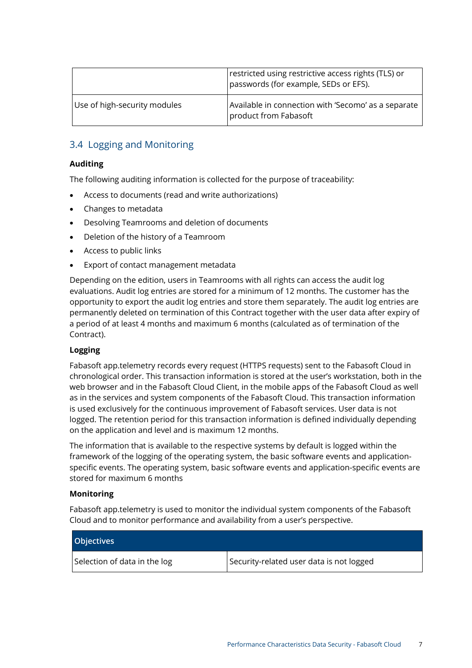|                              | restricted using restrictive access rights (TLS) or<br>passwords (for example, SEDs or EFS). |
|------------------------------|----------------------------------------------------------------------------------------------|
| Use of high-security modules | Available in connection with 'Secomo' as a separate<br>product from Fabasoft                 |

# 3.4 Logging and Monitoring

### **Auditing**

The following auditing information is collected for the purpose of traceability:

- Access to documents (read and write authorizations)
- Changes to metadata
- Desolving Teamrooms and deletion of documents
- Deletion of the history of a Teamroom
- Access to public links
- Export of contact management metadata

Depending on the edition, users in Teamrooms with all rights can access the audit log evaluations. Audit log entries are stored for a minimum of 12 months. The customer has the opportunity to export the audit log entries and store them separately. The audit log entries are permanently deleted on termination of this Contract together with the user data after expiry of a period of at least 4 months and maximum 6 months (calculated as of termination of the Contract).

### **Logging**

Fabasoft app.telemetry records every request (HTTPS requests) sent to the Fabasoft Cloud in chronological order. This transaction information is stored at the user's workstation, both in the web browser and in the Fabasoft Cloud Client, in the mobile apps of the Fabasoft Cloud as well as in the services and system components of the Fabasoft Cloud. This transaction information is used exclusively for the continuous improvement of Fabasoft services. User data is not logged. The retention period for this transaction information is defined individually depending on the application and level and is maximum 12 months.

The information that is available to the respective systems by default is logged within the framework of the logging of the operating system, the basic software events and applicationspecific events. The operating system, basic software events and application-specific events are stored for maximum 6 months

### **Monitoring**

Fabasoft app.telemetry is used to monitor the individual system components of the Fabasoft Cloud and to monitor performance and availability from a user's perspective.

| <b>Objectives</b>            |                                          |
|------------------------------|------------------------------------------|
| Selection of data in the log | Security-related user data is not logged |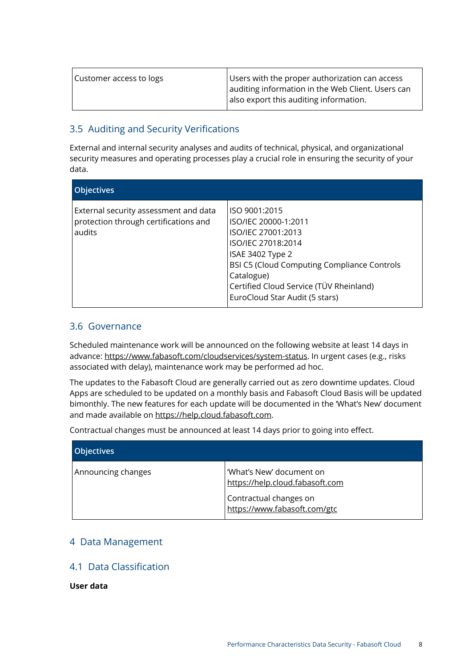| Customer access to logs | Users with the proper authorization can access    |
|-------------------------|---------------------------------------------------|
|                         | auditing information in the Web Client. Users can |
|                         | also export this auditing information.            |

# 3.5 Auditing and Security Verifications

External and internal security analyses and audits of technical, physical, and organizational security measures and operating processes play a crucial role in ensuring the security of your data.

| <b>Objectives</b>                                                                        |                                                                                                                                                                                                                                                        |
|------------------------------------------------------------------------------------------|--------------------------------------------------------------------------------------------------------------------------------------------------------------------------------------------------------------------------------------------------------|
| External security assessment and data<br>protection through certifications and<br>audits | ISO 9001:2015<br>ISO/IEC 20000-1:2011<br>ISO/IEC 27001:2013<br>ISO/IEC 27018:2014<br>ISAE 3402 Type 2<br><b>BSI C5 (Cloud Computing Compliance Controls</b><br>Catalogue)<br>Certified Cloud Service (TÜV Rheinland)<br>EuroCloud Star Audit (5 stars) |

# 3.6 Governance

Scheduled maintenance work will be announced on the following website at least 14 days in advance: [https://www.fabasoft.com/cloudservices/system-status.](https://www.fabasoft.com/cloudservices/system-status) In urgent cases (e.g., risks associated with delay), maintenance work may be performed ad hoc.

The updates to the Fabasoft Cloud are generally carried out as zero downtime updates. Cloud Apps are scheduled to be updated on a monthly basis and Fabasoft Cloud Basis will be updated bimonthly. The new features for each update will be documented in the 'What's New' document and made available on [https://help.cloud.fabasoft.com.](https://help.cloud.fabasoft.com/)

Contractual changes must be announced at least 14 days prior to going into effect.

| <b>Objectives</b>  |                                                             |
|--------------------|-------------------------------------------------------------|
| Announcing changes | 'What's New' document on<br>https://help.cloud.fabasoft.com |
|                    | Contractual changes on<br>https://www.fabasoft.com/gtc      |

# 4 Data Management

# 4.1 Data Classification

**User data**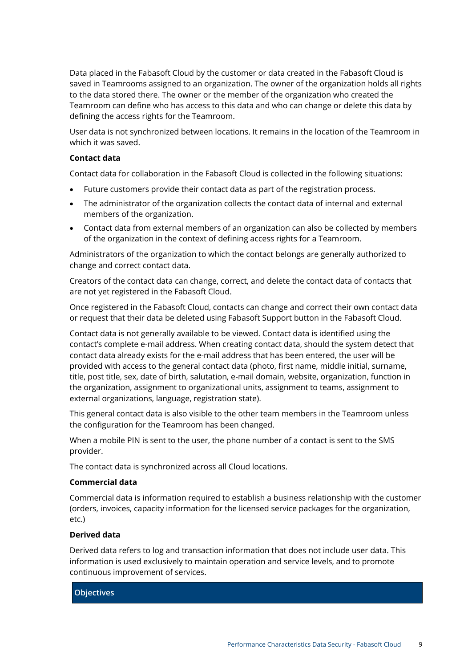Data placed in the Fabasoft Cloud by the customer or data created in the Fabasoft Cloud is saved in Teamrooms assigned to an organization. The owner of the organization holds all rights to the data stored there. The owner or the member of the organization who created the Teamroom can define who has access to this data and who can change or delete this data by defining the access rights for the Teamroom.

User data is not synchronized between locations. It remains in the location of the Teamroom in which it was saved.

### **Contact data**

Contact data for collaboration in the Fabasoft Cloud is collected in the following situations:

- Future customers provide their contact data as part of the registration process.
- The administrator of the organization collects the contact data of internal and external members of the organization.
- Contact data from external members of an organization can also be collected by members of the organization in the context of defining access rights for a Teamroom.

Administrators of the organization to which the contact belongs are generally authorized to change and correct contact data.

Creators of the contact data can change, correct, and delete the contact data of contacts that are not yet registered in the Fabasoft Cloud.

Once registered in the Fabasoft Cloud, contacts can change and correct their own contact data or request that their data be deleted using Fabasoft Support button in the Fabasoft Cloud.

Contact data is not generally available to be viewed. Contact data is identified using the contact's complete e-mail address. When creating contact data, should the system detect that contact data already exists for the e-mail address that has been entered, the user will be provided with access to the general contact data (photo, first name, middle initial, surname, title, post title, sex, date of birth, salutation, e-mail domain, website, organization, function in the organization, assignment to organizational units, assignment to teams, assignment to external organizations, language, registration state).

This general contact data is also visible to the other team members in the Teamroom unless the configuration for the Teamroom has been changed.

When a mobile PIN is sent to the user, the phone number of a contact is sent to the SMS provider.

The contact data is synchronized across all Cloud locations.

### **Commercial data**

Commercial data is information required to establish a business relationship with the customer (orders, invoices, capacity information for the licensed service packages for the organization, etc.)

### **Derived data**

Derived data refers to log and transaction information that does not include user data. This information is used exclusively to maintain operation and service levels, and to promote continuous improvement of services.

### **Objectives**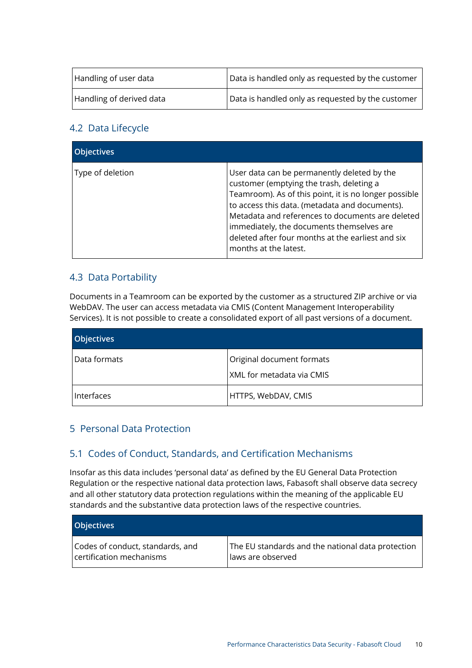| Handling of user data    | Data is handled only as requested by the customer |
|--------------------------|---------------------------------------------------|
| Handling of derived data | Data is handled only as requested by the customer |

# 4.2 Data Lifecycle

| <b>Objectives</b> |                                                                                                                                                                                                                                                                                                                                                                                   |
|-------------------|-----------------------------------------------------------------------------------------------------------------------------------------------------------------------------------------------------------------------------------------------------------------------------------------------------------------------------------------------------------------------------------|
| Type of deletion  | User data can be permanently deleted by the<br>customer (emptying the trash, deleting a<br>Teamroom). As of this point, it is no longer possible<br>to access this data. (metadata and documents).<br>Metadata and references to documents are deleted<br>immediately, the documents themselves are<br>deleted after four months at the earliest and six<br>months at the latest. |

# 4.3 Data Portability

Documents in a Teamroom can be exported by the customer as a structured ZIP archive or via WebDAV. The user can access metadata via CMIS (Content Management Interoperability Services). It is not possible to create a consolidated export of all past versions of a document.

| <b>Objectives</b> |                           |
|-------------------|---------------------------|
| Data formats      | Original document formats |
|                   | XML for metadata via CMIS |
| Interfaces        | HTTPS, WebDAV, CMIS       |

# 5 Personal Data Protection

# 5.1 Codes of Conduct, Standards, and Certification Mechanisms

Insofar as this data includes 'personal data' as defined by the EU General Data Protection Regulation or the respective national data protection laws, Fabasoft shall observe data secrecy and all other statutory data protection regulations within the meaning of the applicable EU standards and the substantive data protection laws of the respective countries.

| <b>Objectives</b>                |                                                   |
|----------------------------------|---------------------------------------------------|
| Codes of conduct, standards, and | The EU standards and the national data protection |
| certification mechanisms         | laws are observed                                 |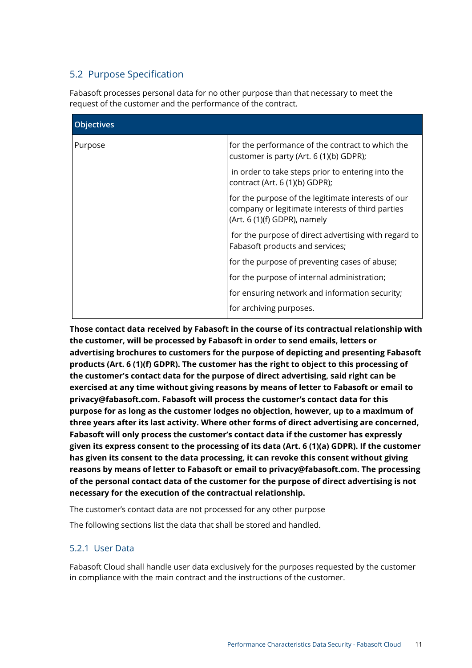# <span id="page-10-0"></span>5.2 Purpose Specification

Fabasoft processes personal data for no other purpose than that necessary to meet the request of the customer and the performance of the contract.

| <b>Objectives</b> |                                                                                                                                           |
|-------------------|-------------------------------------------------------------------------------------------------------------------------------------------|
| Purpose           | for the performance of the contract to which the<br>customer is party (Art. 6 (1)(b) GDPR);                                               |
|                   | in order to take steps prior to entering into the<br>contract (Art. 6 (1)(b) GDPR);                                                       |
|                   | for the purpose of the legitimate interests of our<br>company or legitimate interests of third parties<br>$(Art. 6 (1)(f) GDPR)$ , namely |
|                   | for the purpose of direct advertising with regard to<br>Fabasoft products and services;                                                   |
|                   | for the purpose of preventing cases of abuse;                                                                                             |
|                   | for the purpose of internal administration;                                                                                               |
|                   | for ensuring network and information security;                                                                                            |
|                   | for archiving purposes.                                                                                                                   |

**Those contact data received by Fabasoft in the course of its contractual relationship with the customer, will be processed by Fabasoft in order to send emails, letters or advertising brochures to customers for the purpose of depicting and presenting Fabasoft products (Art. 6 (1)(f) GDPR). The customer has the right to object to this processing of the customer's contact data for the purpose of direct advertising, said right can be exercised at any time without giving reasons by means of letter to Fabasoft or email to privacy@fabasoft.com. Fabasoft will process the customer's contact data for this purpose for as long as the customer lodges no objection, however, up to a maximum of three years after its last activity. Where other forms of direct advertising are concerned, Fabasoft will only process the customer's contact data if the customer has expressly given its express consent to the processing of its data (Art. 6 (1)(a) GDPR). If the customer has given its consent to the data processing, it can revoke this consent without giving reasons by means of letter to Fabasoft or email to privacy@fabasoft.com. The processing of the personal contact data of the customer for the purpose of direct advertising is not necessary for the execution of the contractual relationship.**

The customer's contact data are not processed for any other purpose

The following sections list the data that shall be stored and handled.

# 5.2.1 User Data

Fabasoft Cloud shall handle user data exclusively for the purposes requested by the customer in compliance with the main contract and the instructions of the customer.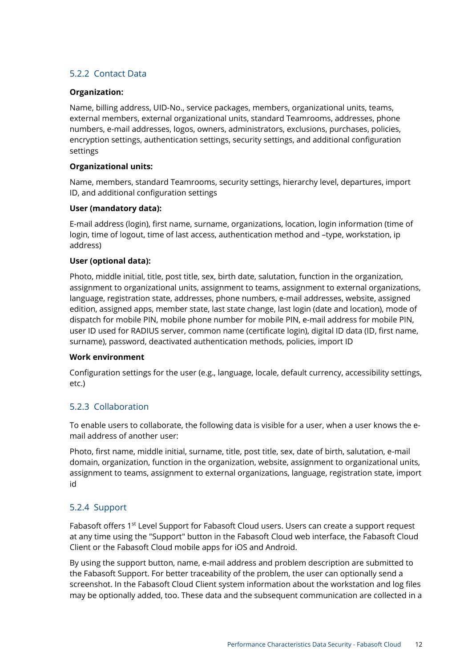# 5.2.2 Contact Data

### **Organization:**

Name, billing address, UID-No., service packages, members, organizational units, teams, external members, external organizational units, standard Teamrooms, addresses, phone numbers, e-mail addresses, logos, owners, administrators, exclusions, purchases, policies, encryption settings, authentication settings, security settings, and additional configuration settings

### **Organizational units:**

Name, members, standard Teamrooms, security settings, hierarchy level, departures, import ID, and additional configuration settings

### **User (mandatory data):**

E-mail address (login), first name, surname, organizations, location, login information (time of login, time of logout, time of last access, authentication method and –type, workstation, ip address)

### **User (optional data):**

Photo, middle initial, title, post title, sex, birth date, salutation, function in the organization, assignment to organizational units, assignment to teams, assignment to external organizations, language, registration state, addresses, phone numbers, e-mail addresses, website, assigned edition, assigned apps, member state, last state change, last login (date and location), mode of dispatch for mobile PIN, mobile phone number for mobile PIN, e-mail address for mobile PIN, user ID used for RADIUS server, common name (certificate login), digital ID data (ID, first name, surname), password, deactivated authentication methods, policies, import ID

### **Work environment**

Configuration settings for the user (e.g., language, locale, default currency, accessibility settings, etc.)

# 5.2.3 Collaboration

To enable users to collaborate, the following data is visible for a user, when a user knows the email address of another user:

Photo, first name, middle initial, surname, title, post title, sex, date of birth, salutation, e-mail domain, organization, function in the organization, website, assignment to organizational units, assignment to teams, assignment to external organizations, language, registration state, import id

### 5.2.4 Support

Fabasoft offers 1<sup>st</sup> Level Support for Fabasoft Cloud users. Users can create a support request at any time using the "Support" button in the Fabasoft Cloud web interface, the Fabasoft Cloud Client or the Fabasoft Cloud mobile apps for iOS and Android.

By using the support button, name, e-mail address and problem description are submitted to the Fabasoft Support. For better traceability of the problem, the user can optionally send a screenshot. In the Fabasoft Cloud Client system information about the workstation and log files may be optionally added, too. These data and the subsequent communication are collected in a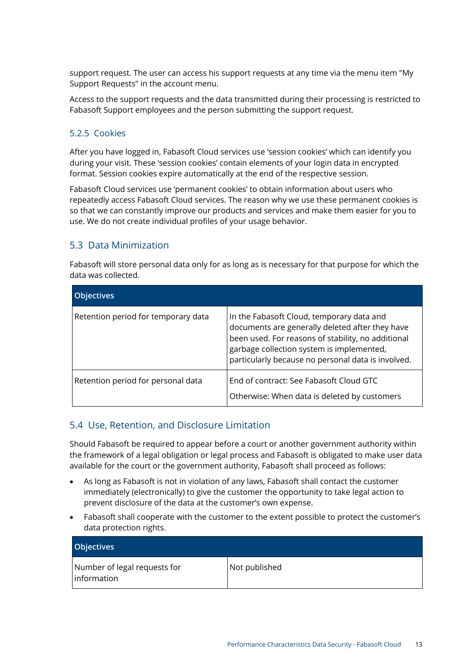support request. The user can access his support requests at any time via the menu item "My Support Requests" in the account menu.

Access to the support requests and the data transmitted during their processing is restricted to Fabasoft Support employees and the person submitting the support request.

### 5.2.5 Cookies

After you have logged in, Fabasoft Cloud services use 'session cookies' which can identify you during your visit. These 'session cookies' contain elements of your login data in encrypted format. Session cookies expire automatically at the end of the respective session.

Fabasoft Cloud services use 'permanent cookies' to obtain information about users who repeatedly access Fabasoft Cloud services. The reason why we use these permanent cookies is so that we can constantly improve our products and services and make them easier for you to use. We do not create individual profiles of your usage behavior.

# 5.3 Data Minimization

Fabasoft will store personal data only for as long as is necessary for that purpose for which the data was collected.

| <b>Objectives</b>                   |                                                                                                                                                                                                                                                       |
|-------------------------------------|-------------------------------------------------------------------------------------------------------------------------------------------------------------------------------------------------------------------------------------------------------|
| Retention period for temporary data | In the Fabasoft Cloud, temporary data and<br>documents are generally deleted after they have<br>been used. For reasons of stability, no additional<br>garbage collection system is implemented,<br>particularly because no personal data is involved. |
| Retention period for personal data  | End of contract: See Fabasoft Cloud GTC<br>Otherwise: When data is deleted by customers                                                                                                                                                               |

# 5.4 Use, Retention, and Disclosure Limitation

Should Fabasoft be required to appear before a court or another government authority within the framework of a legal obligation or legal process and Fabasoft is obligated to make user data available for the court or the government authority, Fabasoft shall proceed as follows:

- As long as Fabasoft is not in violation of any laws, Fabasoft shall contact the customer immediately (electronically) to give the customer the opportunity to take legal action to prevent disclosure of the data at the customer's own expense.
- Fabasoft shall cooperate with the customer to the extent possible to protect the customer's data protection rights.

| <b>Objectives</b>                           |               |
|---------------------------------------------|---------------|
| Number of legal requests for<br>information | Not published |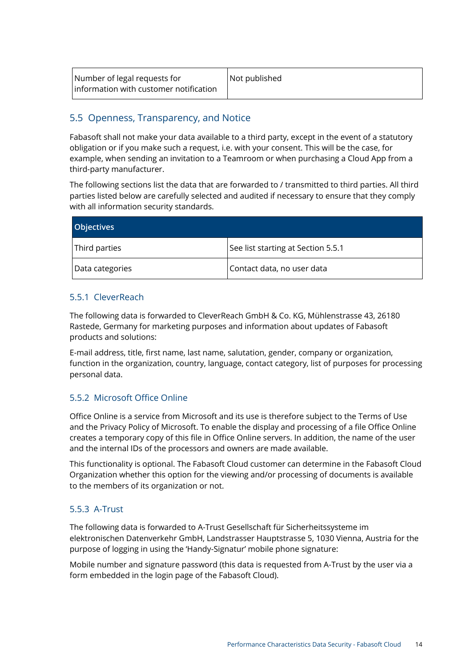| Number of legal requests for           | Not published |
|----------------------------------------|---------------|
| Information with customer notification |               |

# <span id="page-13-1"></span>5.5 Openness, Transparency, and Notice

Fabasoft shall not make your data available to a third party, except in the event of a statutory obligation or if you make such a request, i.e. with your consent. This will be the case, for example, when sending an invitation to a Teamroom or when purchasing a Cloud App from a third-party manufacturer.

The following sections list the data that are forwarded to / transmitted to third parties. All third parties listed below are carefully selected and audited if necessary to ensure that they comply with all information security standards.

| <b>Objectives</b> |                                    |
|-------------------|------------------------------------|
| Third parties     | See list starting at Section 5.5.1 |
| Data categories   | Contact data, no user data         |

# <span id="page-13-0"></span>5.5.1 CleverReach

The following data is forwarded to CleverReach GmbH & Co. KG, Mühlenstrasse 43, 26180 Rastede, Germany for marketing purposes and information about updates of Fabasoft products and solutions:

E-mail address, title, first name, last name, salutation, gender, company or organization, function in the organization, country, language, contact category, list of purposes for processing personal data.

# 5.5.2 Microsoft Office Online

Office Online is a service from Microsoft and its use is therefore subject to the Terms of Use and the Privacy Policy of Microsoft. To enable the display and processing of a file Office Online creates a temporary copy of this file in Office Online servers. In addition, the name of the user and the internal IDs of the processors and owners are made available.

This functionality is optional. The Fabasoft Cloud customer can determine in the Fabasoft Cloud Organization whether this option for the viewing and/or processing of documents is available to the members of its organization or not.

# 5.5.3 A-Trust

The following data is forwarded to A-Trust Gesellschaft für Sicherheitssysteme im elektronischen Datenverkehr GmbH, Landstrasser Hauptstrasse 5, 1030 Vienna, Austria for the purpose of logging in using the 'Handy-Signatur' mobile phone signature:

Mobile number and signature password (this data is requested from A-Trust by the user via a form embedded in the login page of the Fabasoft Cloud).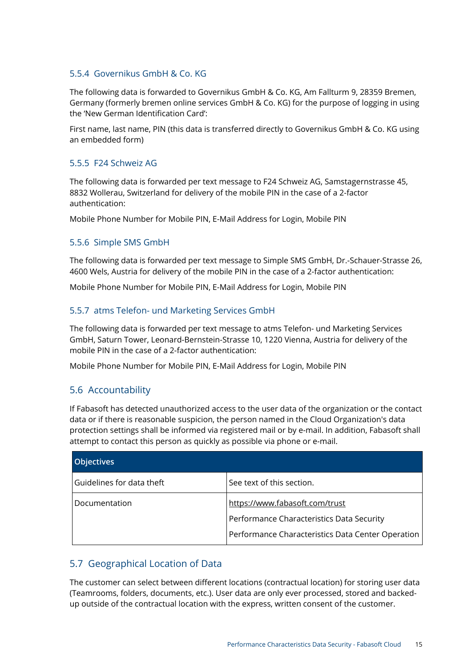### 5.5.4 Governikus GmbH & Co. KG

The following data is forwarded to Governikus GmbH & Co. KG, Am Fallturm 9, 28359 Bremen, Germany (formerly bremen online services GmbH & Co. KG) for the purpose of logging in using the 'New German Identification Card':

First name, last name, PIN (this data is transferred directly to Governikus GmbH & Co. KG using an embedded form)

### 5.5.5 F24 Schweiz AG

The following data is forwarded per text message to F24 Schweiz AG, Samstagernstrasse 45, 8832 Wollerau, Switzerland for delivery of the mobile PIN in the case of a 2-factor authentication:

Mobile Phone Number for Mobile PIN, E-Mail Address for Login, Mobile PIN

# 5.5.6 Simple SMS GmbH

The following data is forwarded per text message to Simple SMS GmbH, Dr.-Schauer-Strasse 26, 4600 Wels, Austria for delivery of the mobile PIN in the case of a 2-factor authentication:

Mobile Phone Number for Mobile PIN, E-Mail Address for Login, Mobile PIN

### 5.5.7 atms Telefon- und Marketing Services GmbH

The following data is forwarded per text message to atms Telefon- und Marketing Services GmbH, Saturn Tower, Leonard-Bernstein-Strasse 10, 1220 Vienna, Austria for delivery of the mobile PIN in the case of a 2-factor authentication:

Mobile Phone Number for Mobile PIN, E-Mail Address for Login, Mobile PIN

# 5.6 Accountability

If Fabasoft has detected unauthorized access to the user data of the organization or the contact data or if there is reasonable suspicion, the person named in the Cloud Organization's data protection settings shall be informed via registered mail or by e-mail. In addition, Fabasoft shall attempt to contact this person as quickly as possible via phone or e-mail.

| <b>Objectives</b>         |                                                   |
|---------------------------|---------------------------------------------------|
| Guidelines for data theft | See text of this section.                         |
| l Documentation           | https://www.fabasoft.com/trust                    |
|                           | Performance Characteristics Data Security         |
|                           | Performance Characteristics Data Center Operation |

# 5.7 Geographical Location of Data

The customer can select between different locations (contractual location) for storing user data (Teamrooms, folders, documents, etc.). User data are only ever processed, stored and backedup outside of the contractual location with the express, written consent of the customer.